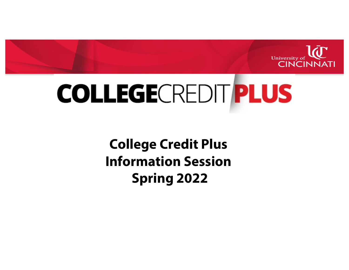

# **COLLEGE**CREDITPLUS

**College Credit Plus Information Session Spring 2022**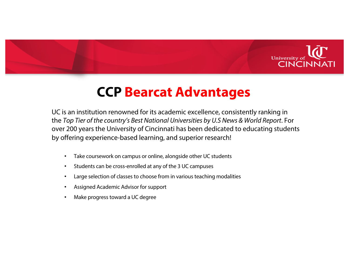

# **CCP Bearcat Advantages**

UC is an institution renowned for its academic excellence, consistently ranking in the *Top Tier of the country's Best National Universities by U.S News & World Report*. For over 200 years the University of Cincinnati has been dedicated to educating students by offering experience-based learning, and superior research!

- Take coursework on campus or online, alongside other UC students
- Students can be cross-enrolled at any of the 3 UC campuses
- Large selection of classes to choose from in various teaching modalities
- Assigned Academic Advisor for support
- Make progress toward a UC degree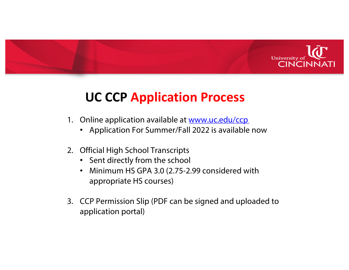

### **UC CCP Application Process**

- 1. Online application available [at www.uc.edu/ccp](http://www.uc.edu/ccp)
	- Application For Summer/Fall 2022 is available now
- 2. Official High School Transcripts
	- Sent directly from the school
	- Minimum HS GPA 3.0 (2.75-2.99 considered with appropriate HS courses)
- 3. CCP Permission Slip (PDF can be signed and uploaded to application portal)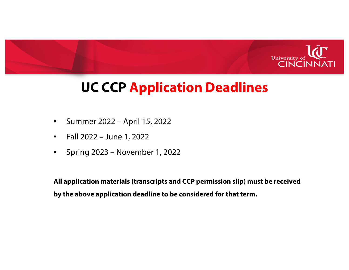

# **UC CCP Application Deadlines**

- Summer 2022 April 15, 2022
- Fall 2022 June 1, 2022
- Spring 2023 November 1, 2022

**All application materials (transcripts and CCP permission slip) must be received by the above application deadline to be considered for that term.**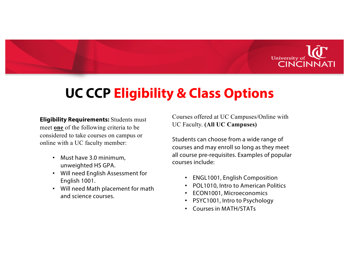

# **UC CCP Eligibility & Class Options**

**Eligibility Requirements:** Students must meet **one** of the following criteria to be considered to take courses on campus or online with a UC faculty member:

- Must have 3.0 minimum, unweighted HS GPA.
- Will need English Assessment for English 1001.
- Will need Math placement for math and science courses.

Courses offered at UC Campuses/Online with UC Faculty. **(All UC Campuses)**

Students can choose from a wide range of courses and may enroll so long as they meet all course pre-requisites. Examples of popular courses include:

- ENGL1001, English Composition
- POL1010, Intro to American Politics
- ECON1001, Microeconomics
- PSYC1001, Intro to Psychology
- Courses in MATH/STATs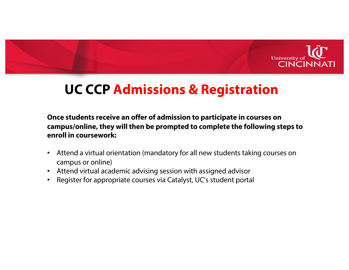

# **UC CCP Admissions & Registration**

**Once students receive an offer of admission to participate in courses on campus/online, they will then be prompted to complete the following steps to enroll in coursework:**

- Attend a virtual orientation (mandatory for all new students taking courses on campus or online)
- Attend virtual academic advising session with assigned advisor
- Register for appropriate courses via Catalyst, UC's student portal